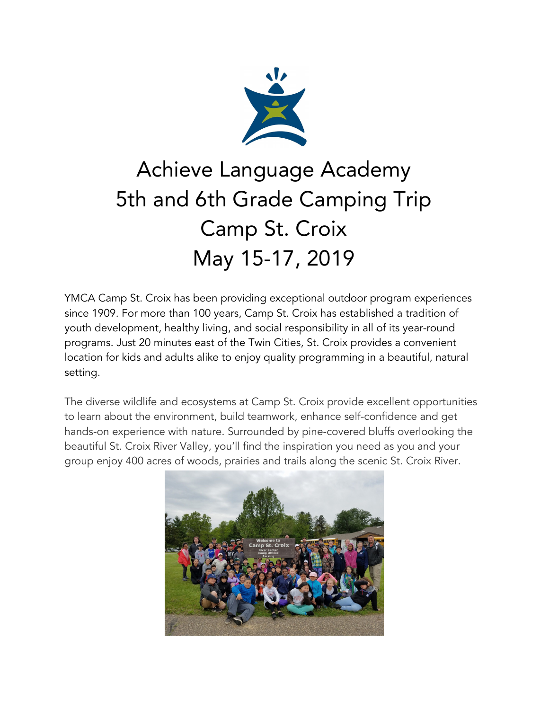

# Achieve Language Academy 5th and 6th Grade Camping Trip Camp St. Croix May 15-17, 2019

YMCA Camp St. Croix has been providing exceptional outdoor program experiences since 1909. For more than 100 years, Camp St. Croix has established a tradition of youth development, healthy living, and social responsibility in all of its year-round programs. Just 20 minutes east of the Twin Cities, St. Croix provides a convenient location for kids and adults alike to enjoy quality programming in a beautiful, natural setting.

The diverse wildlife and ecosystems at Camp St. Croix provide excellent opportunities to learn about the environment, build teamwork, enhance self-confidence and get hands-on experience with nature. Surrounded by pine-covered bluffs overlooking the beautiful St. Croix River Valley, you'll find the inspiration you need as you and your group enjoy 400 acres of woods, prairies and trails along the scenic St. Croix River.

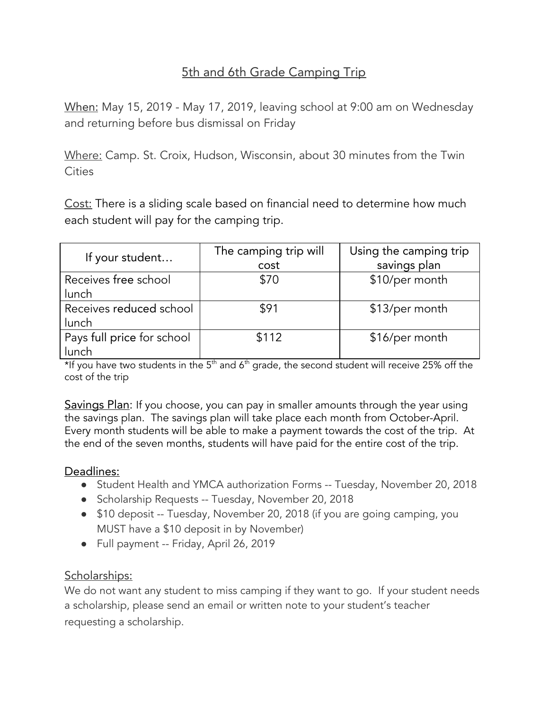## 5th and 6th Grade Camping Trip

When: May 15, 2019 - May 17, 2019, leaving school at 9:00 am on Wednesday and returning before bus dismissal on Friday

Where: Camp. St. Croix, Hudson, Wisconsin, about 30 minutes from the Twin **Cities** 

Cost: There is a sliding scale based on financial need to determine how much each student will pay for the camping trip.

| If your student                     | The camping trip will<br>cost | Using the camping trip<br>savings plan |
|-------------------------------------|-------------------------------|----------------------------------------|
| Receives free school<br>lunch       | \$70                          | \$10/per month                         |
| Receives reduced school<br>lunch    | \$91                          | \$13/per month                         |
| Pays full price for school<br>lunch | \$112                         | \$16/per month                         |

\*If you have two students in the 5<sup>th</sup> and 6<sup>th</sup> grade, the second student will receive 25% off the cost of the trip

Savings Plan: If you choose, you can pay in smaller amounts through the year using the savings plan. The savings plan will take place each month from October-April. Every month students will be able to make a payment towards the cost of the trip. At the end of the seven months, students will have paid for the entire cost of the trip.

#### Deadlines:

- Student Health and YMCA authorization Forms -- Tuesday, November 20, 2018
- Scholarship Requests -- Tuesday, November 20, 2018
- \$10 deposit -- Tuesday, November 20, 2018 (if you are going camping, you MUST have a \$10 deposit in by November)
- Full payment -- Friday, April 26, 2019

## Scholarships:

We do not want any student to miss camping if they want to go. If your student needs a scholarship, please send an email or written note to your student's teacher requesting a scholarship.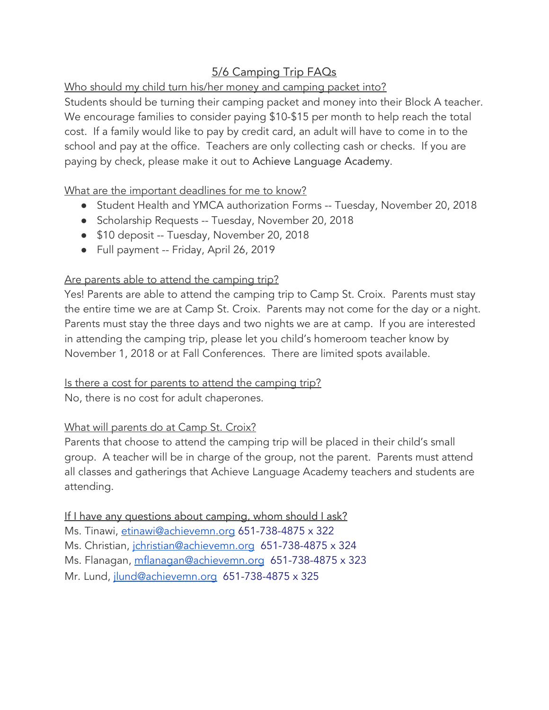## 5/6 Camping Trip FAQs

Who should my child turn his/her money and camping packet into?

Students should be turning their camping packet and money into their Block A teacher. We encourage families to consider paying \$10-\$15 per month to help reach the total cost. If a family would like to pay by credit card, an adult will have to come in to the school and pay at the office. Teachers are only collecting cash or checks. If you are paying by check, please make it out to Achieve Language Academy.

What are the important deadlines for me to know?

- Student Health and YMCA authorization Forms -- Tuesday, November 20, 2018
- Scholarship Requests -- Tuesday, November 20, 2018
- \$10 deposit -- Tuesday, November 20, 2018
- Full payment -- Friday, April 26, 2019

#### Are parents able to attend the camping trip?

Yes! Parents are able to attend the camping trip to Camp St. Croix. Parents must stay the entire time we are at Camp St. Croix. Parents may not come for the day or a night. Parents must stay the three days and two nights we are at camp. If you are interested in attending the camping trip, please let you child's homeroom teacher know by November 1, 2018 or at Fall Conferences. There are limited spots available.

#### Is there a cost for parents to attend the camping trip?

No, there is no cost for adult chaperones.

#### What will parents do at Camp St. Croix?

Parents that choose to attend the camping trip will be placed in their child's small group. A teacher will be in charge of the group, not the parent. Parents must attend all classes and gatherings that Achieve Language Academy teachers and students are attending.

If I have any questions about camping, whom should I ask? Ms. Tinawi, [etinawi@achievemn.org](mailto:etinawi@achievemn.org) 651-738-4875 x 322 Ms. Christian, *[jchristian@achievemn.org](mailto:jchristian@achievemn.org)* 651-738-4875 x 324 Ms. Flanagan, [mflanagan@achievemn.org](mailto:mflanagan@achievemn.org) 651-738-4875 x 323 Mr. Lund, [jlund@achievemn.org](mailto:jlund@achievemn.org) 651-738-4875 x 325